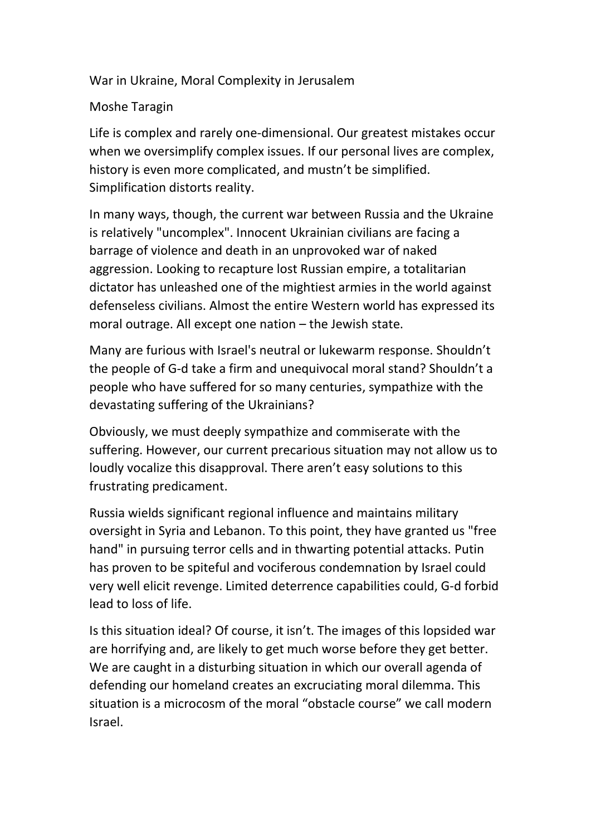War in Ukraine, Moral Complexity in Jerusalem

## Moshe Taragin

Life is complex and rarely one-dimensional. Our greatest mistakes occur when we oversimplify complex issues. If our personal lives are complex, history is even more complicated, and mustn't be simplified. Simplification distorts reality.

In many ways, though, the current war between Russia and the Ukraine is relatively "uncomplex". Innocent Ukrainian civilians are facing a barrage of violence and death in an unprovoked war of naked aggression. Looking to recapture lost Russian empire, a totalitarian dictator has unleashed one of the mightiest armies in the world against defenseless civilians. Almost the entire Western world has expressed its moral outrage. All except one nation – the Jewish state.

Many are furious with Israel's neutral or lukewarm response. Shouldn't the people of G-d take a firm and unequivocal moral stand? Shouldn't a people who have suffered for so many centuries, sympathize with the devastating suffering of the Ukrainians?

Obviously, we must deeply sympathize and commiserate with the suffering. However, our current precarious situation may not allow us to loudly vocalize this disapproval. There aren't easy solutions to this frustrating predicament.

Russia wields significant regional influence and maintains military oversight in Syria and Lebanon. To this point, they have granted us "free hand" in pursuing terror cells and in thwarting potential attacks. Putin has proven to be spiteful and vociferous condemnation by Israel could very well elicit revenge. Limited deterrence capabilities could, G-d forbid lead to loss of life.

Is this situation ideal? Of course, it isn't. The images of this lopsided war are horrifying and, are likely to get much worse before they get better. We are caught in a disturbing situation in which our overall agenda of defending our homeland creates an excruciating moral dilemma. This situation is a microcosm of the moral "obstacle course" we call modern Israel.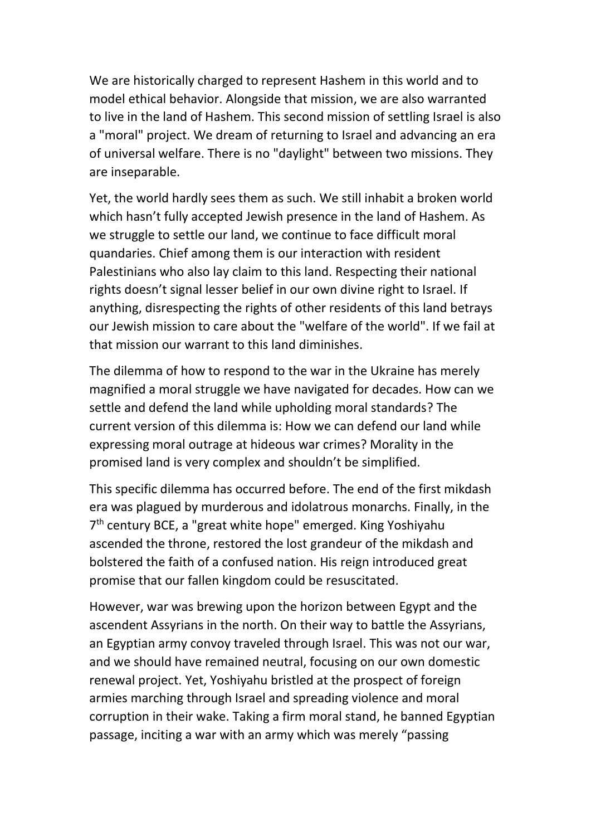We are historically charged to represent Hashem in this world and to model ethical behavior. Alongside that mission, we are also warranted to live in the land of Hashem. This second mission of settling Israel is also a "moral" project. We dream of returning to Israel and advancing an era of universal welfare. There is no "daylight" between two missions. They are inseparable.

Yet, the world hardly sees them as such. We still inhabit a broken world which hasn't fully accepted Jewish presence in the land of Hashem. As we struggle to settle our land, we continue to face difficult moral quandaries. Chief among them is our interaction with resident Palestinians who also lay claim to this land. Respecting their national rights doesn't signal lesser belief in our own divine right to Israel. If anything, disrespecting the rights of other residents of this land betrays our Jewish mission to care about the "welfare of the world". If we fail at that mission our warrant to this land diminishes.

The dilemma of how to respond to the war in the Ukraine has merely magnified a moral struggle we have navigated for decades. How can we settle and defend the land while upholding moral standards? The current version of this dilemma is: How we can defend our land while expressing moral outrage at hideous war crimes? Morality in the promised land is very complex and shouldn't be simplified.

This specific dilemma has occurred before. The end of the first mikdash era was plagued by murderous and idolatrous monarchs. Finally, in the 7<sup>th</sup> century BCE, a "great white hope" emerged. King Yoshiyahu ascended the throne, restored the lost grandeur of the mikdash and bolstered the faith of a confused nation. His reign introduced great promise that our fallen kingdom could be resuscitated.

However, war was brewing upon the horizon between Egypt and the ascendent Assyrians in the north. On their way to battle the Assyrians, an Egyptian army convoy traveled through Israel. This was not our war, and we should have remained neutral, focusing on our own domestic renewal project. Yet, Yoshiyahu bristled at the prospect of foreign armies marching through Israel and spreading violence and moral corruption in their wake. Taking a firm moral stand, he banned Egyptian passage, inciting a war with an army which was merely "passing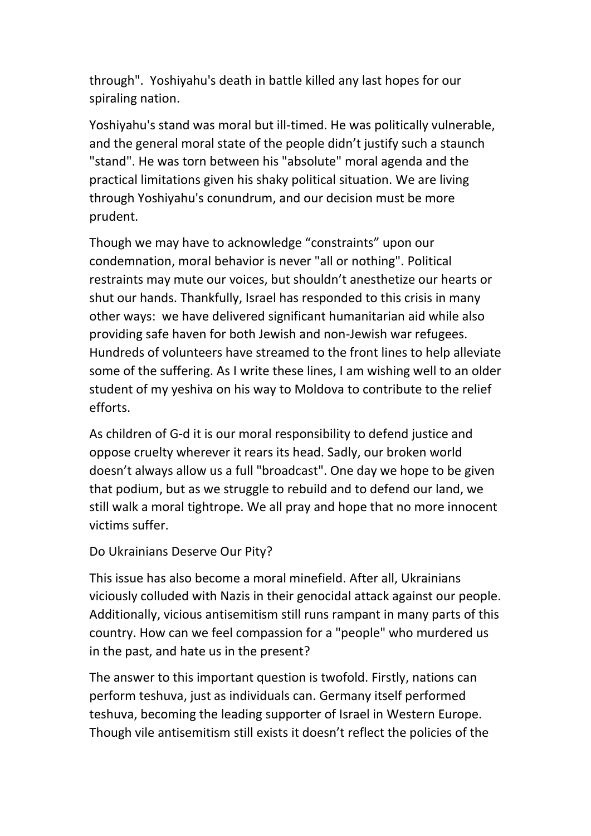through". Yoshiyahu's death in battle killed any last hopes for our spiraling nation.

Yoshiyahu's stand was moral but ill-timed. He was politically vulnerable, and the general moral state of the people didn't justify such a staunch "stand". He was torn between his "absolute" moral agenda and the practical limitations given his shaky political situation. We are living through Yoshiyahu's conundrum, and our decision must be more prudent.

Though we may have to acknowledge "constraints" upon our condemnation, moral behavior is never "all or nothing". Political restraints may mute our voices, but shouldn't anesthetize our hearts or shut our hands. Thankfully, Israel has responded to this crisis in many other ways: we have delivered significant humanitarian aid while also providing safe haven for both Jewish and non-Jewish war refugees. Hundreds of volunteers have streamed to the front lines to help alleviate some of the suffering. As I write these lines, I am wishing well to an older student of my yeshiva on his way to Moldova to contribute to the relief efforts.

As children of G-d it is our moral responsibility to defend justice and oppose cruelty wherever it rears its head. Sadly, our broken world doesn't always allow us a full "broadcast". One day we hope to be given that podium, but as we struggle to rebuild and to defend our land, we still walk a moral tightrope. We all pray and hope that no more innocent victims suffer.

## Do Ukrainians Deserve Our Pity?

This issue has also become a moral minefield. After all, Ukrainians viciously colluded with Nazis in their genocidal attack against our people. Additionally, vicious antisemitism still runs rampant in many parts of this country. How can we feel compassion for a "people" who murdered us in the past, and hate us in the present?

The answer to this important question is twofold. Firstly, nations can perform teshuva, just as individuals can. Germany itself performed teshuva, becoming the leading supporter of Israel in Western Europe. Though vile antisemitism still exists it doesn't reflect the policies of the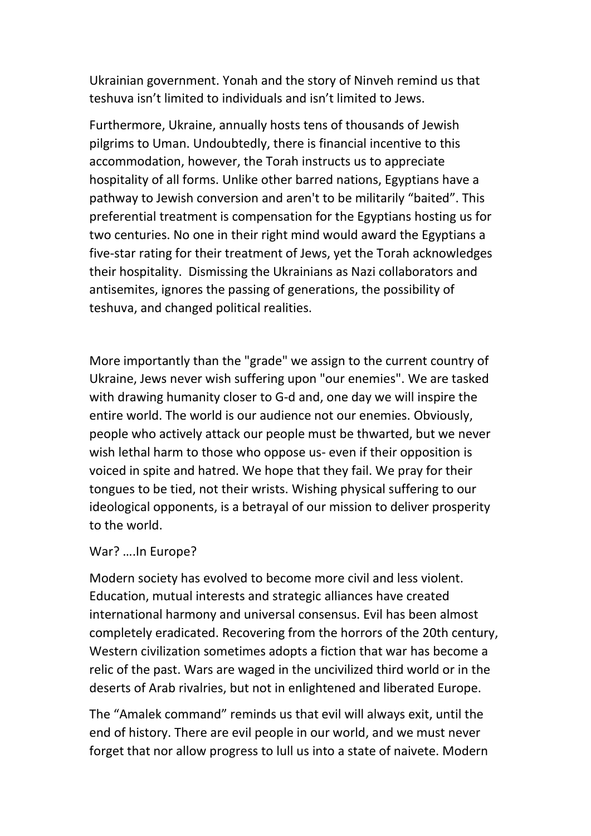Ukrainian government. Yonah and the story of Ninveh remind us that teshuva isn't limited to individuals and isn't limited to Jews.

Furthermore, Ukraine, annually hosts tens of thousands of Jewish pilgrims to Uman. Undoubtedly, there is financial incentive to this accommodation, however, the Torah instructs us to appreciate hospitality of all forms. Unlike other barred nations, Egyptians have a pathway to Jewish conversion and aren't to be militarily "baited". This preferential treatment is compensation for the Egyptians hosting us for two centuries. No one in their right mind would award the Egyptians a five-star rating for their treatment of Jews, yet the Torah acknowledges their hospitality. Dismissing the Ukrainians as Nazi collaborators and antisemites, ignores the passing of generations, the possibility of teshuva, and changed political realities.

More importantly than the "grade" we assign to the current country of Ukraine, Jews never wish suffering upon "our enemies". We are tasked with drawing humanity closer to G-d and, one day we will inspire the entire world. The world is our audience not our enemies. Obviously, people who actively attack our people must be thwarted, but we never wish lethal harm to those who oppose us- even if their opposition is voiced in spite and hatred. We hope that they fail. We pray for their tongues to be tied, not their wrists. Wishing physical suffering to our ideological opponents, is a betrayal of our mission to deliver prosperity to the world.

## War? ….In Europe?

Modern society has evolved to become more civil and less violent. Education, mutual interests and strategic alliances have created international harmony and universal consensus. Evil has been almost completely eradicated. Recovering from the horrors of the 20th century, Western civilization sometimes adopts a fiction that war has become a relic of the past. Wars are waged in the uncivilized third world or in the deserts of Arab rivalries, but not in enlightened and liberated Europe.

The "Amalek command" reminds us that evil will always exit, until the end of history. There are evil people in our world, and we must never forget that nor allow progress to lull us into a state of naivete. Modern